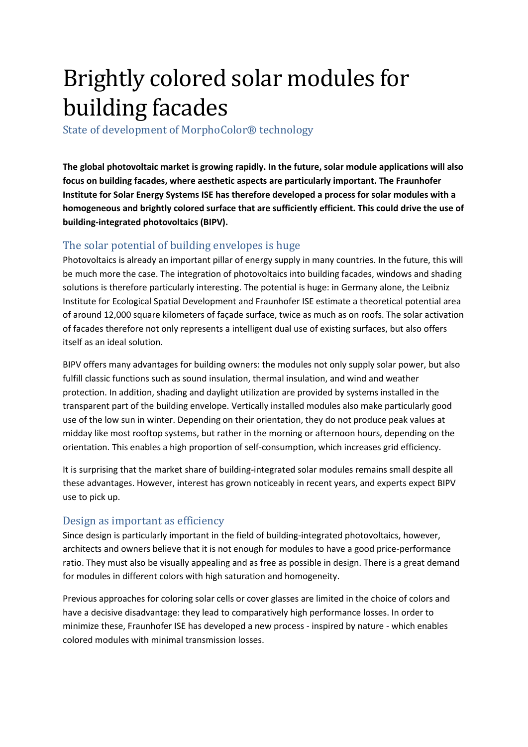## Brightly colored solar modules for building facades

State of development of MorphoColor® technology

**The global photovoltaic market is growing rapidly. In the future, solar module applications will also focus on building facades, where aesthetic aspects are particularly important. The Fraunhofer Institute for Solar Energy Systems ISE has therefore developed a process for solar modules with a homogeneous and brightly colored surface that are sufficiently efficient. This could drive the use of building-integrated photovoltaics (BIPV).** 

## The solar potential of building envelopes is huge

Photovoltaics is already an important pillar of energy supply in many countries. In the future, this will be much more the case. The integration of photovoltaics into building facades, windows and shading solutions is therefore particularly interesting. The potential is huge: in Germany alone, the Leibniz Institute for Ecological Spatial Development and Fraunhofer ISE estimate a theoretical potential area of around 12,000 square kilometers of façade surface, twice as much as on roofs. The solar activation of facades therefore not only represents a intelligent dual use of existing surfaces, but also offers itself as an ideal solution.

BIPV offers many advantages for building owners: the modules not only supply solar power, but also fulfill classic functions such as sound insulation, thermal insulation, and wind and weather protection. In addition, shading and daylight utilization are provided by systems installed in the transparent part of the building envelope. Vertically installed modules also make particularly good use of the low sun in winter. Depending on their orientation, they do not produce peak values at midday like most rooftop systems, but rather in the morning or afternoon hours, depending on the orientation. This enables a high proportion of self-consumption, which increases grid efficiency.

It is surprising that the market share of building-integrated solar modules remains small despite all these advantages. However, interest has grown noticeably in recent years, and experts expect BIPV use to pick up.

## Design as important as efficiency

Since design is particularly important in the field of building-integrated photovoltaics, however, architects and owners believe that it is not enough for modules to have a good price-performance ratio. They must also be visually appealing and as free as possible in design. There is a great demand for modules in different colors with high saturation and homogeneity.

Previous approaches for coloring solar cells or cover glasses are limited in the choice of colors and have a decisive disadvantage: they lead to comparatively high performance losses. In order to minimize these, Fraunhofer ISE has developed a new process - inspired by nature - which enables colored modules with minimal transmission losses.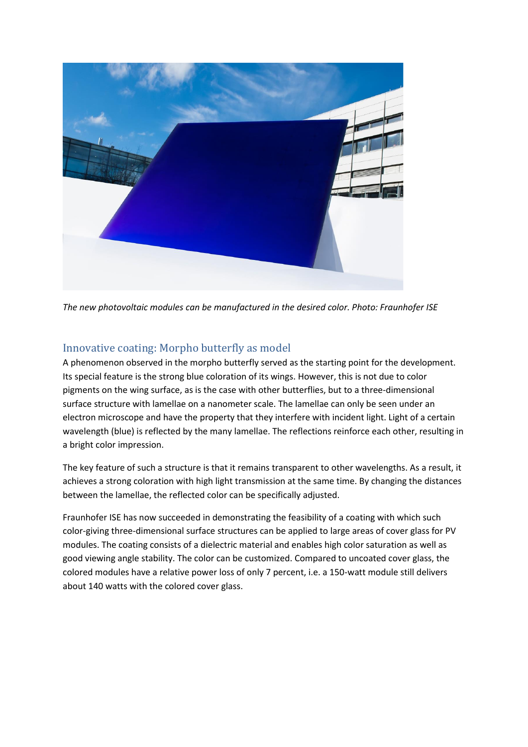

*The new photovoltaic modules can be manufactured in the desired color. Photo: Fraunhofer ISE*

## Innovative coating: Morpho butterfly as model

A phenomenon observed in the morpho butterfly served as the starting point for the development. Its special feature is the strong blue coloration of its wings. However, this is not due to color pigments on the wing surface, as is the case with other butterflies, but to a three-dimensional surface structure with lamellae on a nanometer scale. The lamellae can only be seen under an electron microscope and have the property that they interfere with incident light. Light of a certain wavelength (blue) is reflected by the many lamellae. The reflections reinforce each other, resulting in a bright color impression.

The key feature of such a structure is that it remains transparent to other wavelengths. As a result, it achieves a strong coloration with high light transmission at the same time. By changing the distances between the lamellae, the reflected color can be specifically adjusted.

Fraunhofer ISE has now succeeded in demonstrating the feasibility of a coating with which such color-giving three-dimensional surface structures can be applied to large areas of cover glass for PV modules. The coating consists of a dielectric material and enables high color saturation as well as good viewing angle stability. The color can be customized. Compared to uncoated cover glass, the colored modules have a relative power loss of only 7 percent, i.e. a 150-watt module still delivers about 140 watts with the colored cover glass.